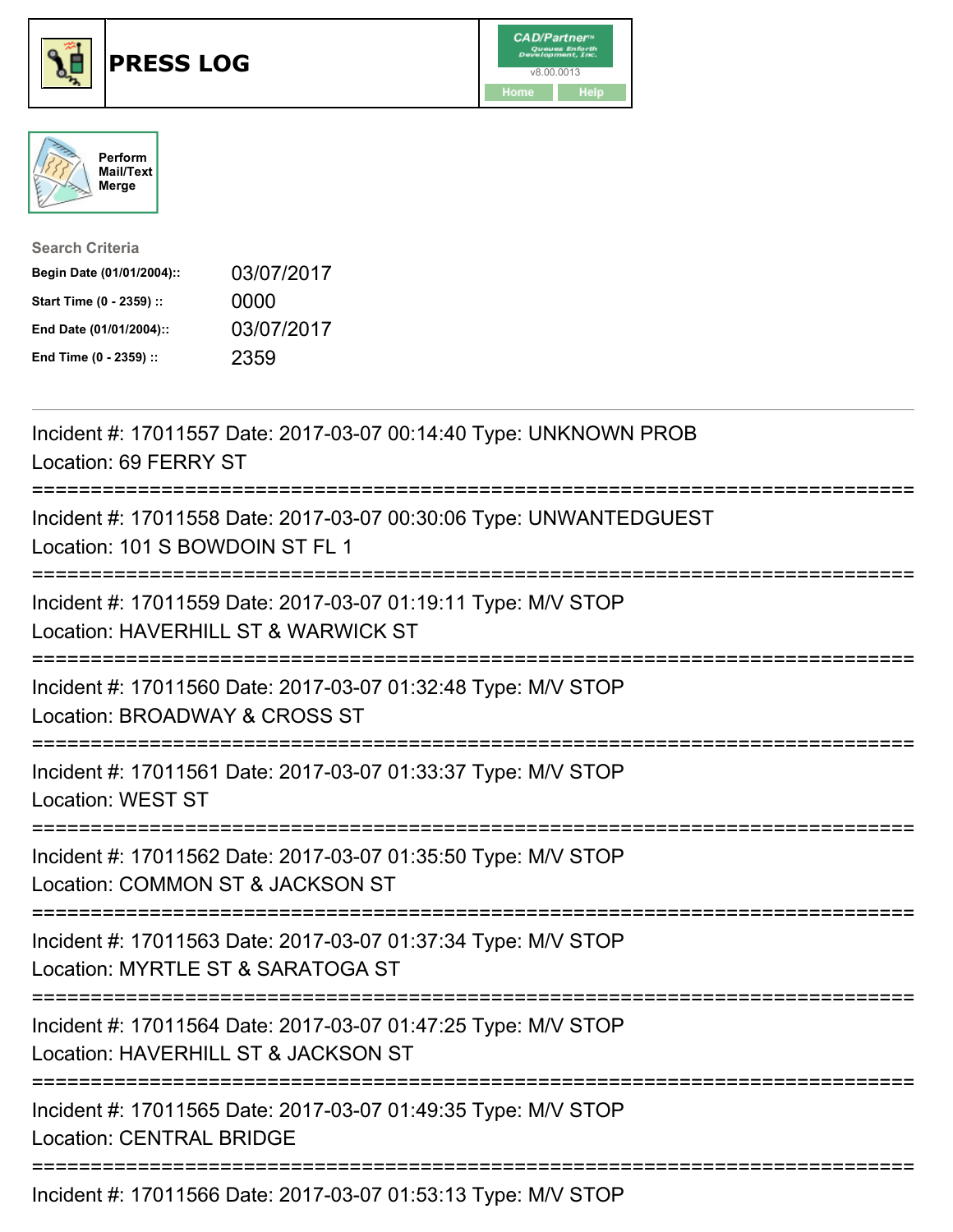





| <b>Search Criteria</b>    |            |
|---------------------------|------------|
| Begin Date (01/01/2004):: | 03/07/2017 |
| Start Time (0 - 2359) ::  | 0000       |
| End Date (01/01/2004)::   | 03/07/2017 |
| End Time (0 - 2359) ::    | 2359       |

| Incident #: 17011557 Date: 2017-03-07 00:14:40 Type: UNKNOWN PROB<br>Location: 69 FERRY ST                                       |
|----------------------------------------------------------------------------------------------------------------------------------|
| Incident #: 17011558 Date: 2017-03-07 00:30:06 Type: UNWANTEDGUEST<br>Location: 101 S BOWDOIN ST FL 1                            |
| Incident #: 17011559 Date: 2017-03-07 01:19:11 Type: M/V STOP<br>Location: HAVERHILL ST & WARWICK ST                             |
| Incident #: 17011560 Date: 2017-03-07 01:32:48 Type: M/V STOP<br>Location: BROADWAY & CROSS ST                                   |
| Incident #: 17011561 Date: 2017-03-07 01:33:37 Type: M/V STOP<br><b>Location: WEST ST</b><br>;================================== |
| Incident #: 17011562 Date: 2017-03-07 01:35:50 Type: M/V STOP<br>Location: COMMON ST & JACKSON ST                                |
| Incident #: 17011563 Date: 2017-03-07 01:37:34 Type: M/V STOP<br>Location: MYRTLE ST & SARATOGA ST                               |
| Incident #: 17011564 Date: 2017-03-07 01:47:25 Type: M/V STOP<br>Location: HAVERHILL ST & JACKSON ST                             |
| Incident #: 17011565 Date: 2017-03-07 01:49:35 Type: M/V STOP<br><b>Location: CENTRAL BRIDGE</b>                                 |
|                                                                                                                                  |

Incident #: 17011566 Date: 2017-03-07 01:53:13 Type: M/V STOP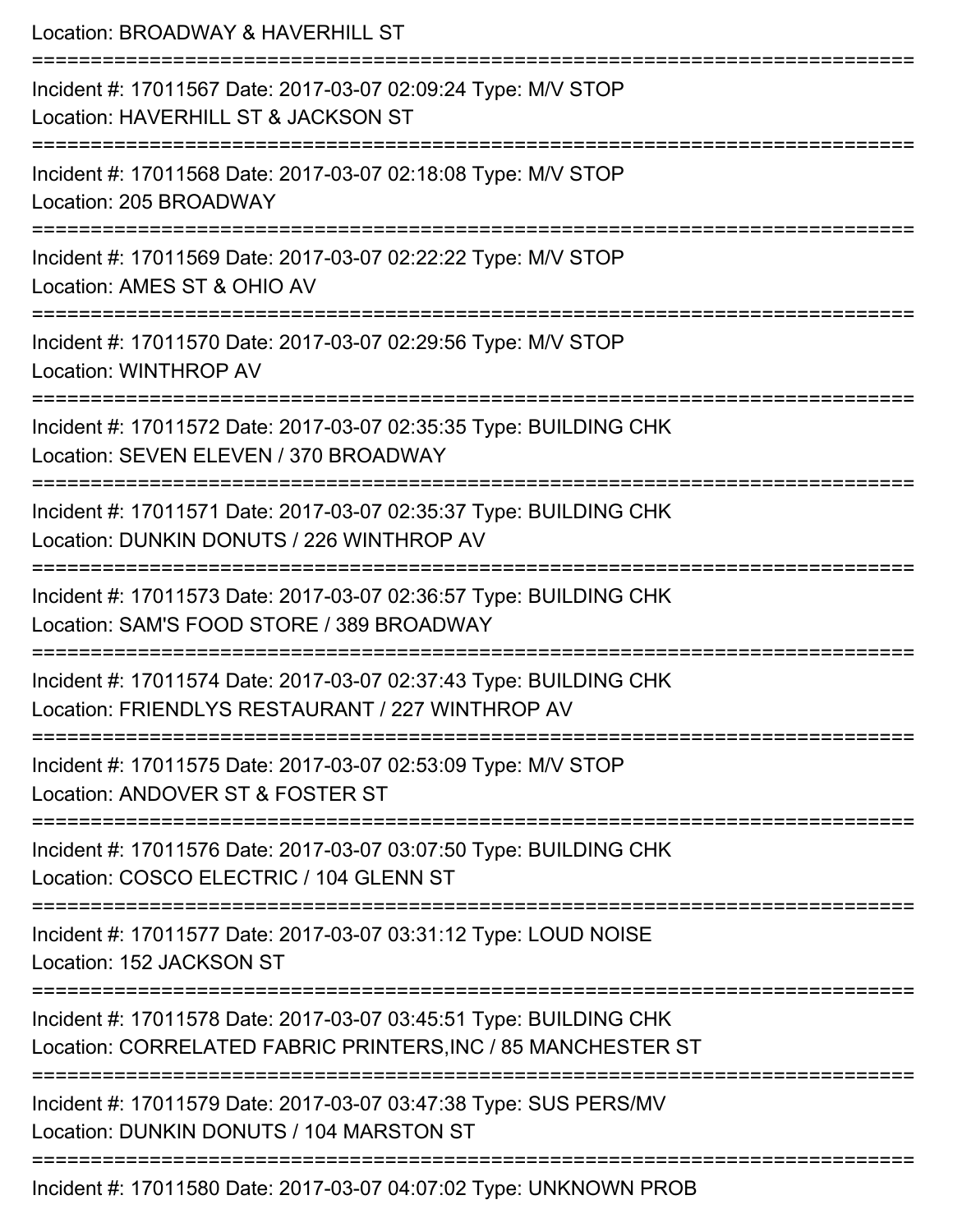| Location: BROADWAY & HAVERHILL ST                                                                                                       |
|-----------------------------------------------------------------------------------------------------------------------------------------|
| Incident #: 17011567 Date: 2017-03-07 02:09:24 Type: M/V STOP<br>Location: HAVERHILL ST & JACKSON ST                                    |
| Incident #: 17011568 Date: 2017-03-07 02:18:08 Type: M/V STOP<br>Location: 205 BROADWAY                                                 |
| Incident #: 17011569 Date: 2017-03-07 02:22:22 Type: M/V STOP<br>Location: AMES ST & OHIO AV                                            |
| :====================<br>Incident #: 17011570 Date: 2017-03-07 02:29:56 Type: M/V STOP<br>Location: WINTHROP AV                         |
| Incident #: 17011572 Date: 2017-03-07 02:35:35 Type: BUILDING CHK<br>Location: SEVEN ELEVEN / 370 BROADWAY                              |
| ---------------------<br>Incident #: 17011571 Date: 2017-03-07 02:35:37 Type: BUILDING CHK<br>Location: DUNKIN DONUTS / 226 WINTHROP AV |
| Incident #: 17011573 Date: 2017-03-07 02:36:57 Type: BUILDING CHK<br>Location: SAM'S FOOD STORE / 389 BROADWAY                          |
| Incident #: 17011574 Date: 2017-03-07 02:37:43 Type: BUILDING CHK<br>Location: FRIENDLYS RESTAURANT / 227 WINTHROP AV                   |
| Incident #: 17011575 Date: 2017-03-07 02:53:09 Type: M/V STOP<br>Location: ANDOVER ST & FOSTER ST                                       |
| Incident #: 17011576 Date: 2017-03-07 03:07:50 Type: BUILDING CHK<br>Location: COSCO ELECTRIC / 104 GLENN ST                            |
| Incident #: 17011577 Date: 2017-03-07 03:31:12 Type: LOUD NOISE<br>Location: 152 JACKSON ST                                             |
| Incident #: 17011578 Date: 2017-03-07 03:45:51 Type: BUILDING CHK<br>Location: CORRELATED FABRIC PRINTERS, INC / 85 MANCHESTER ST       |
| Incident #: 17011579 Date: 2017-03-07 03:47:38 Type: SUS PERS/MV<br>Location: DUNKIN DONUTS / 104 MARSTON ST                            |
|                                                                                                                                         |

Incident #: 17011580 Date: 2017-03-07 04:07:02 Type: UNKNOWN PROB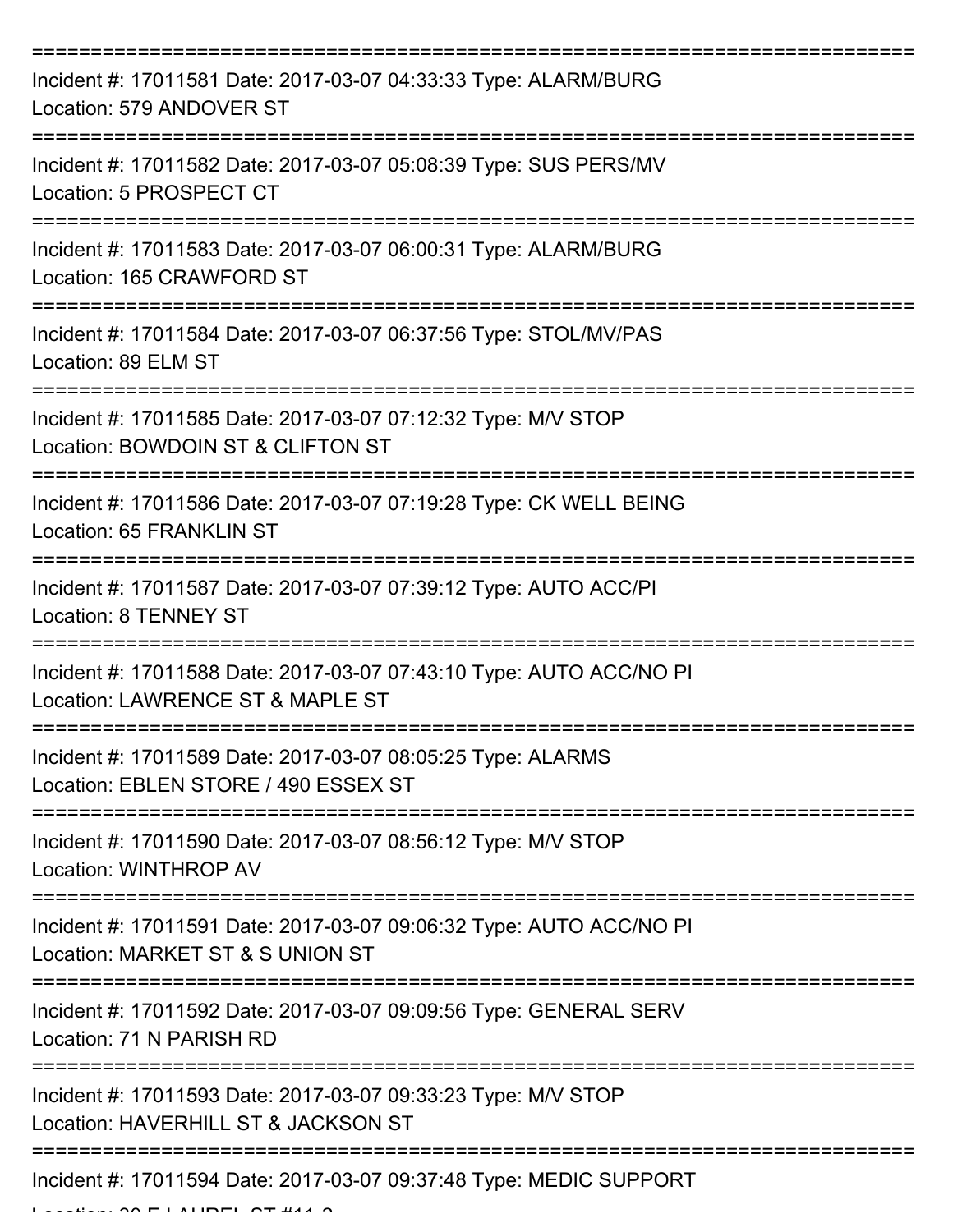| Incident #: 17011581 Date: 2017-03-07 04:33:33 Type: ALARM/BURG<br>Location: 579 ANDOVER ST             |
|---------------------------------------------------------------------------------------------------------|
| Incident #: 17011582 Date: 2017-03-07 05:08:39 Type: SUS PERS/MV<br>Location: 5 PROSPECT CT             |
| Incident #: 17011583 Date: 2017-03-07 06:00:31 Type: ALARM/BURG<br>Location: 165 CRAWFORD ST            |
| Incident #: 17011584 Date: 2017-03-07 06:37:56 Type: STOL/MV/PAS<br>Location: 89 ELM ST                 |
| Incident #: 17011585 Date: 2017-03-07 07:12:32 Type: M/V STOP<br>Location: BOWDOIN ST & CLIFTON ST      |
| Incident #: 17011586 Date: 2017-03-07 07:19:28 Type: CK WELL BEING<br>Location: 65 FRANKLIN ST          |
| Incident #: 17011587 Date: 2017-03-07 07:39:12 Type: AUTO ACC/PI<br><b>Location: 8 TENNEY ST</b>        |
| Incident #: 17011588 Date: 2017-03-07 07:43:10 Type: AUTO ACC/NO PI<br>Location: LAWRENCE ST & MAPLE ST |
| Incident #: 17011589 Date: 2017-03-07 08:05:25 Type: ALARMS<br>Location: EBLEN STORE / 490 ESSEX ST     |
| Incident #: 17011590 Date: 2017-03-07 08:56:12 Type: M/V STOP<br>Location: WINTHROP AV                  |
| Incident #: 17011591 Date: 2017-03-07 09:06:32 Type: AUTO ACC/NO PI<br>Location: MARKET ST & S UNION ST |
| Incident #: 17011592 Date: 2017-03-07 09:09:56 Type: GENERAL SERV<br>Location: 71 N PARISH RD           |
| Incident #: 17011593 Date: 2017-03-07 09:33:23 Type: M/V STOP<br>Location: HAVERHILL ST & JACKSON ST    |
| Incident #: 17011594 Date: 2017-03-07 09:37:48 Type: MEDIC SUPPORT                                      |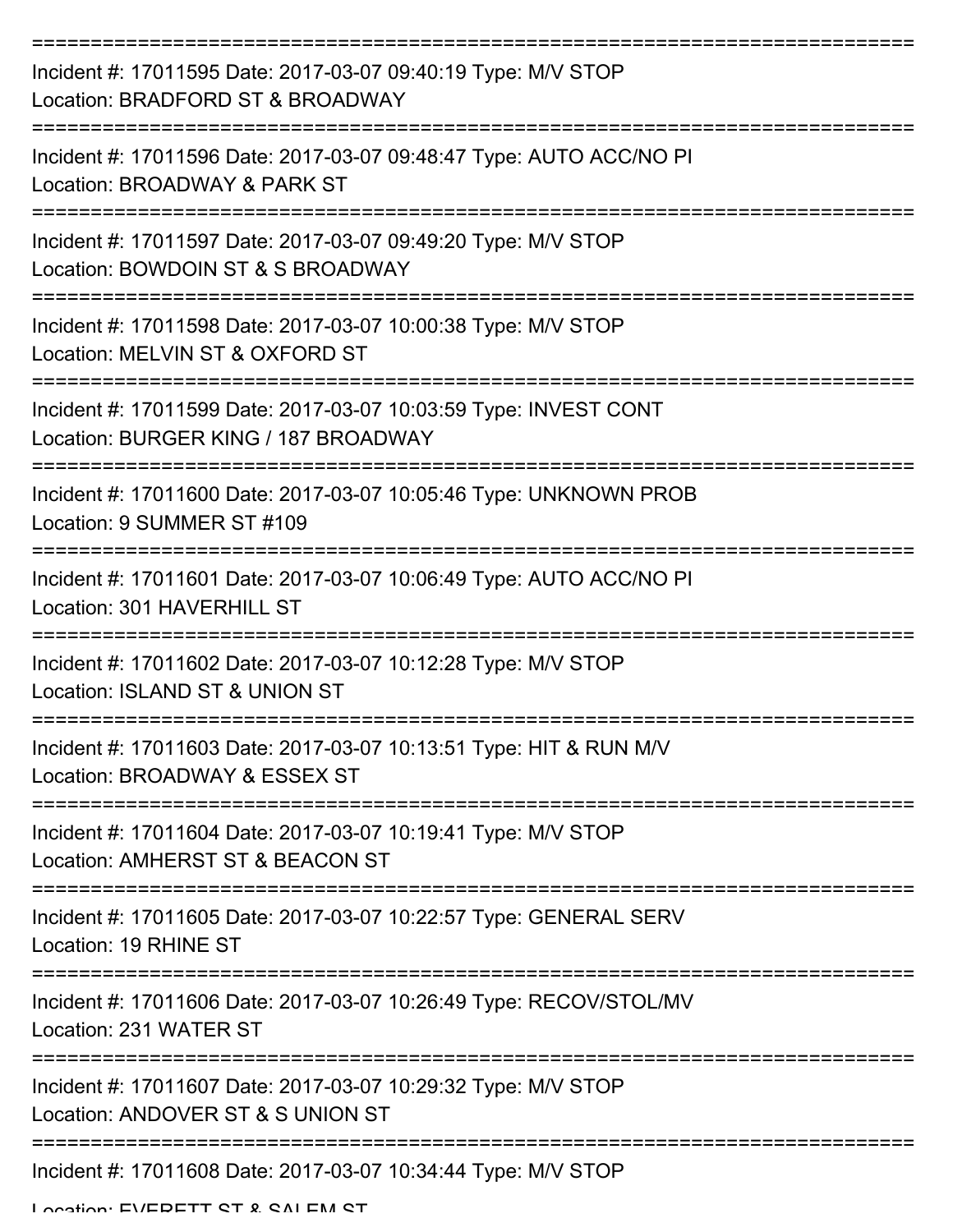| Incident #: 17011595 Date: 2017-03-07 09:40:19 Type: M/V STOP<br>Location: BRADFORD ST & BROADWAY        |
|----------------------------------------------------------------------------------------------------------|
| Incident #: 17011596 Date: 2017-03-07 09:48:47 Type: AUTO ACC/NO PI<br>Location: BROADWAY & PARK ST      |
| Incident #: 17011597 Date: 2017-03-07 09:49:20 Type: M/V STOP<br>Location: BOWDOIN ST & S BROADWAY       |
| Incident #: 17011598 Date: 2017-03-07 10:00:38 Type: M/V STOP<br>Location: MELVIN ST & OXFORD ST         |
| Incident #: 17011599 Date: 2017-03-07 10:03:59 Type: INVEST CONT<br>Location: BURGER KING / 187 BROADWAY |
| Incident #: 17011600 Date: 2017-03-07 10:05:46 Type: UNKNOWN PROB<br>Location: 9 SUMMER ST #109          |
| Incident #: 17011601 Date: 2017-03-07 10:06:49 Type: AUTO ACC/NO PI<br>Location: 301 HAVERHILL ST        |
| Incident #: 17011602 Date: 2017-03-07 10:12:28 Type: M/V STOP<br>Location: ISLAND ST & UNION ST          |
| Incident #: 17011603 Date: 2017-03-07 10:13:51 Type: HIT & RUN M/V<br>Location: BROADWAY & ESSEX ST      |
| Incident #: 17011604 Date: 2017-03-07 10:19:41 Type: M/V STOP<br>Location: AMHERST ST & BEACON ST        |
| Incident #: 17011605 Date: 2017-03-07 10:22:57 Type: GENERAL SERV<br>Location: 19 RHINE ST               |
| Incident #: 17011606 Date: 2017-03-07 10:26:49 Type: RECOV/STOL/MV<br>Location: 231 WATER ST             |
| Incident #: 17011607 Date: 2017-03-07 10:29:32 Type: M/V STOP<br>Location: ANDOVER ST & S UNION ST       |
| Incident #: 17011608 Date: 2017-03-07 10:34:44 Type: M/V STOP                                            |

Location: EVEDETT CT & CALEM CT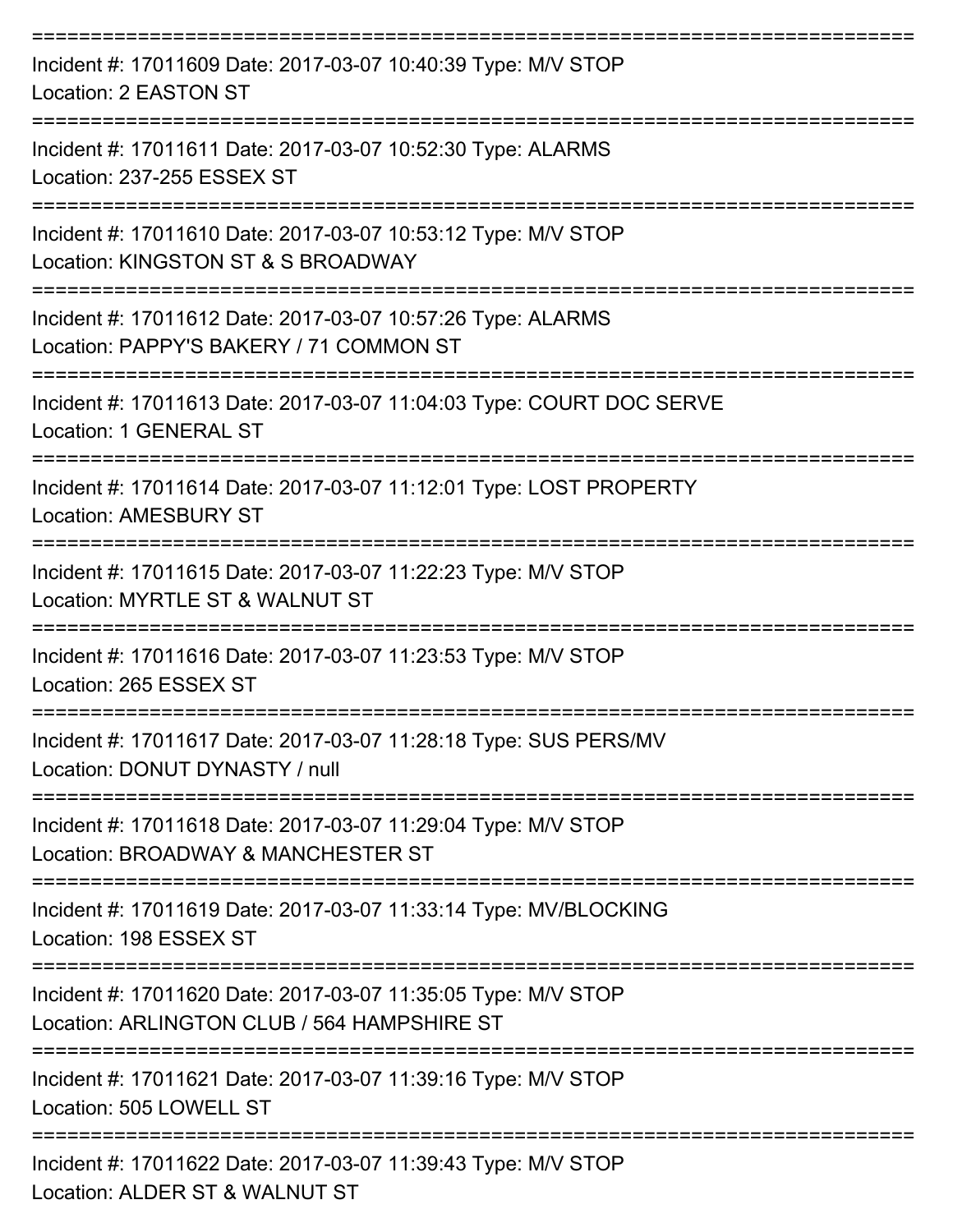| Incident #: 17011609 Date: 2017-03-07 10:40:39 Type: M/V STOP<br>Location: 2 EASTON ST                       |
|--------------------------------------------------------------------------------------------------------------|
| Incident #: 17011611 Date: 2017-03-07 10:52:30 Type: ALARMS<br>Location: 237-255 ESSEX ST                    |
| Incident #: 17011610 Date: 2017-03-07 10:53:12 Type: M/V STOP<br>Location: KINGSTON ST & S BROADWAY          |
| Incident #: 17011612 Date: 2017-03-07 10:57:26 Type: ALARMS<br>Location: PAPPY'S BAKERY / 71 COMMON ST       |
| Incident #: 17011613 Date: 2017-03-07 11:04:03 Type: COURT DOC SERVE<br><b>Location: 1 GENERAL ST</b>        |
| Incident #: 17011614 Date: 2017-03-07 11:12:01 Type: LOST PROPERTY<br><b>Location: AMESBURY ST</b>           |
| Incident #: 17011615 Date: 2017-03-07 11:22:23 Type: M/V STOP<br>Location: MYRTLE ST & WALNUT ST             |
| Incident #: 17011616 Date: 2017-03-07 11:23:53 Type: M/V STOP<br>Location: 265 ESSEX ST                      |
| Incident #: 17011617 Date: 2017-03-07 11:28:18 Type: SUS PERS/MV<br>Location: DONUT DYNASTY / null           |
| Incident #: 17011618 Date: 2017-03-07 11:29:04 Type: M/V STOP<br>Location: BROADWAY & MANCHESTER ST          |
| Incident #: 17011619 Date: 2017-03-07 11:33:14 Type: MV/BLOCKING<br>Location: 198 ESSEX ST                   |
| Incident #: 17011620 Date: 2017-03-07 11:35:05 Type: M/V STOP<br>Location: ARLINGTON CLUB / 564 HAMPSHIRE ST |
| Incident #: 17011621 Date: 2017-03-07 11:39:16 Type: M/V STOP<br>Location: 505 LOWELL ST                     |
| Incident #: 17011622 Date: 2017-03-07 11:39:43 Type: M/V STOP<br>Location: ALDER ST & WALNUT ST              |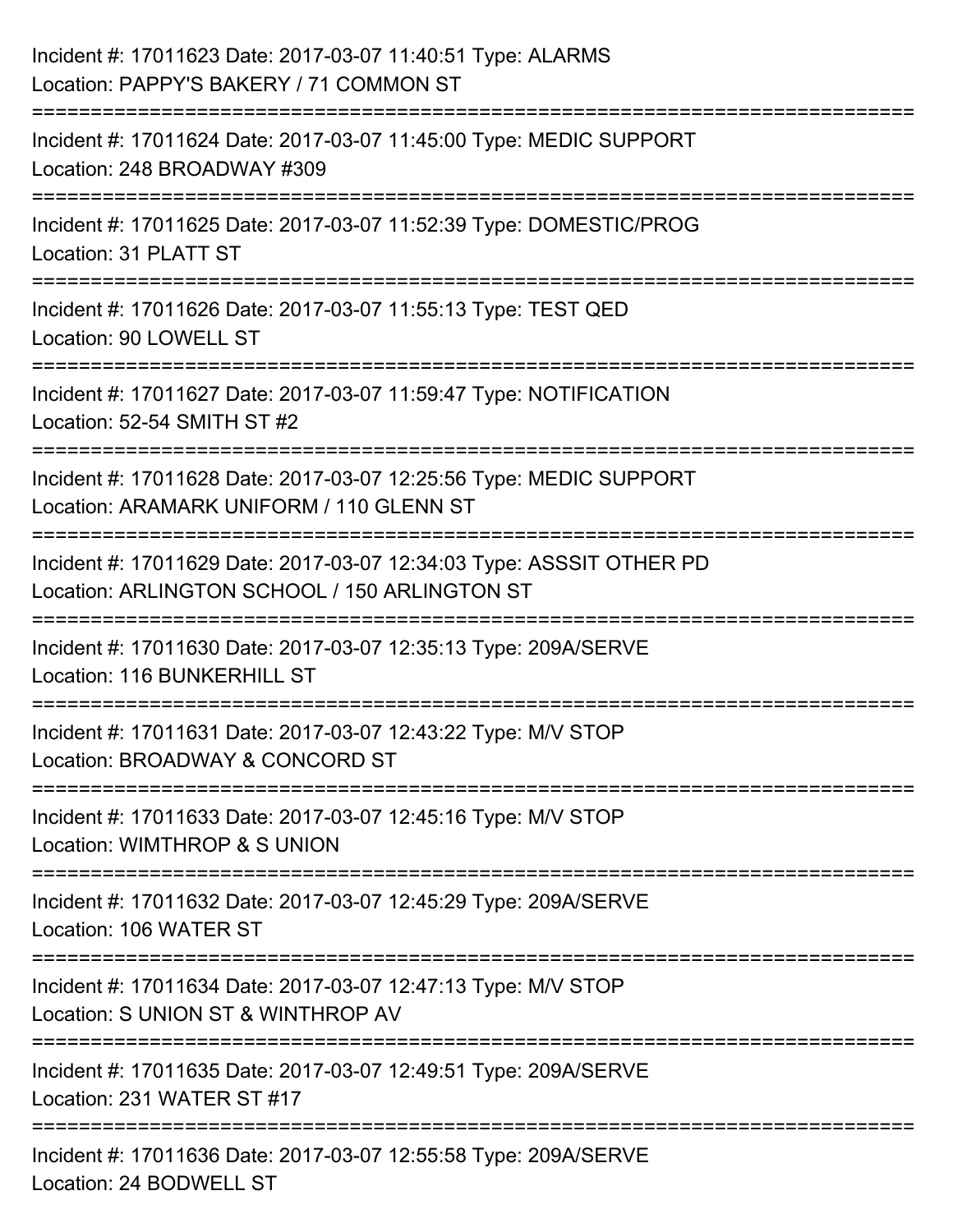| Incident #: 17011623 Date: 2017-03-07 11:40:51 Type: ALARMS<br>Location: PAPPY'S BAKERY / 71 COMMON ST                |
|-----------------------------------------------------------------------------------------------------------------------|
| Incident #: 17011624 Date: 2017-03-07 11:45:00 Type: MEDIC SUPPORT<br>Location: 248 BROADWAY #309                     |
| Incident #: 17011625 Date: 2017-03-07 11:52:39 Type: DOMESTIC/PROG<br>Location: 31 PLATT ST                           |
| ==========================<br>Incident #: 17011626 Date: 2017-03-07 11:55:13 Type: TEST QED<br>Location: 90 LOWELL ST |
| Incident #: 17011627 Date: 2017-03-07 11:59:47 Type: NOTIFICATION<br>Location: 52-54 SMITH ST #2                      |
| Incident #: 17011628 Date: 2017-03-07 12:25:56 Type: MEDIC SUPPORT<br>Location: ARAMARK UNIFORM / 110 GLENN ST        |
| Incident #: 17011629 Date: 2017-03-07 12:34:03 Type: ASSSIT OTHER PD<br>Location: ARLINGTON SCHOOL / 150 ARLINGTON ST |
| Incident #: 17011630 Date: 2017-03-07 12:35:13 Type: 209A/SERVE<br>Location: 116 BUNKERHILL ST                        |
| Incident #: 17011631 Date: 2017-03-07 12:43:22 Type: M/V STOP<br>Location: BROADWAY & CONCORD ST                      |
| Incident #: 17011633 Date: 2017-03-07 12:45:16 Type: M/V STOP<br>Location: WIMTHROP & S UNION                         |
| Incident #: 17011632 Date: 2017-03-07 12:45:29 Type: 209A/SERVE<br>Location: 106 WATER ST                             |
| Incident #: 17011634 Date: 2017-03-07 12:47:13 Type: M/V STOP<br>Location: S UNION ST & WINTHROP AV                   |
| Incident #: 17011635 Date: 2017-03-07 12:49:51 Type: 209A/SERVE<br>Location: 231 WATER ST #17                         |
| Incident #: 17011636 Date: 2017-03-07 12:55:58 Type: 209A/SERVE<br>Location: 24 BODWELL ST                            |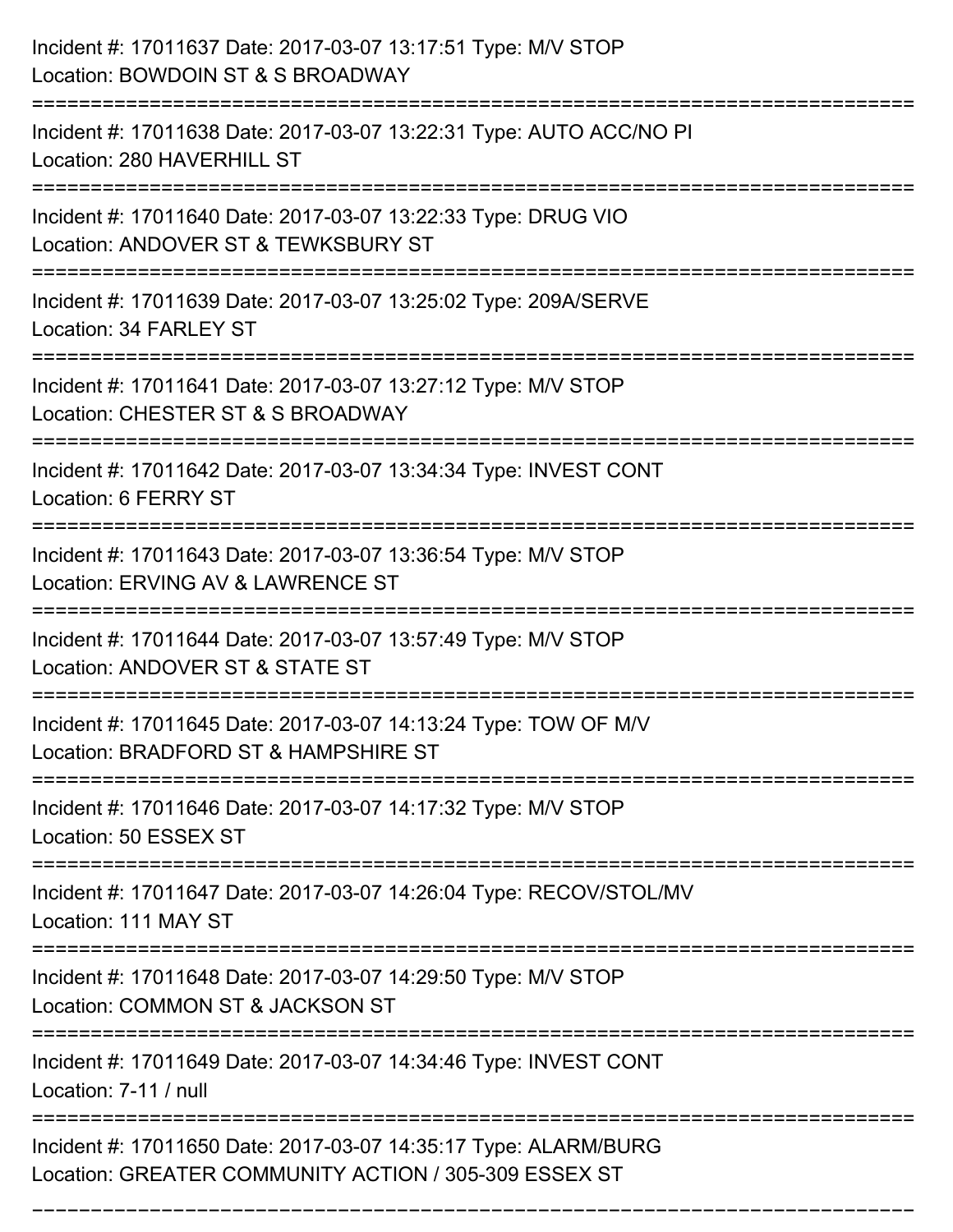| Incident #: 17011637 Date: 2017-03-07 13:17:51 Type: M/V STOP<br>Location: BOWDOIN ST & S BROADWAY                              |
|---------------------------------------------------------------------------------------------------------------------------------|
| Incident #: 17011638 Date: 2017-03-07 13:22:31 Type: AUTO ACC/NO PI<br>Location: 280 HAVERHILL ST                               |
| Incident #: 17011640 Date: 2017-03-07 13:22:33 Type: DRUG VIO<br>Location: ANDOVER ST & TEWKSBURY ST<br>======================= |
| Incident #: 17011639 Date: 2017-03-07 13:25:02 Type: 209A/SERVE<br>Location: 34 FARLEY ST                                       |
| Incident #: 17011641 Date: 2017-03-07 13:27:12 Type: M/V STOP<br>Location: CHESTER ST & S BROADWAY                              |
| Incident #: 17011642 Date: 2017-03-07 13:34:34 Type: INVEST CONT<br>Location: 6 FERRY ST                                        |
| Incident #: 17011643 Date: 2017-03-07 13:36:54 Type: M/V STOP<br>Location: ERVING AV & LAWRENCE ST                              |
| Incident #: 17011644 Date: 2017-03-07 13:57:49 Type: M/V STOP<br>Location: ANDOVER ST & STATE ST                                |
| Incident #: 17011645 Date: 2017-03-07 14:13:24 Type: TOW OF M/V<br>Location: BRADFORD ST & HAMPSHIRE ST                         |
| Incident #: 17011646 Date: 2017-03-07 14:17:32 Type: M/V STOP<br>Location: 50 ESSEX ST                                          |
| Incident #: 17011647 Date: 2017-03-07 14:26:04 Type: RECOV/STOL/MV<br>Location: 111 MAY ST                                      |
| Incident #: 17011648 Date: 2017-03-07 14:29:50 Type: M/V STOP<br>Location: COMMON ST & JACKSON ST                               |
| Incident #: 17011649 Date: 2017-03-07 14:34:46 Type: INVEST CONT<br>Location: 7-11 / null                                       |
| Incident #: 17011650 Date: 2017-03-07 14:35:17 Type: ALARM/BURG<br>Location: GREATER COMMUNITY ACTION / 305-309 ESSEX ST        |

===========================================================================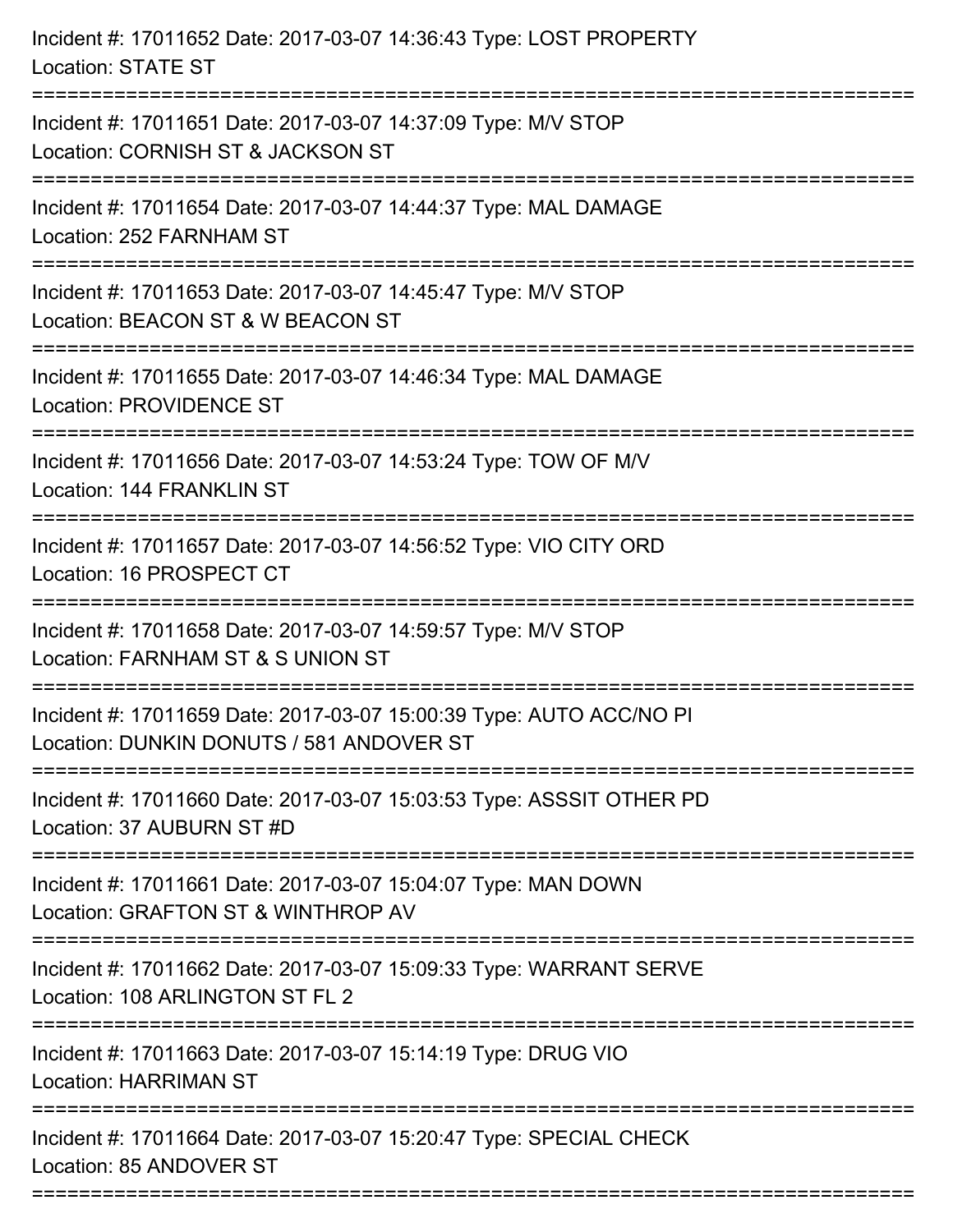| Incident #: 17011652 Date: 2017-03-07 14:36:43 Type: LOST PROPERTY<br><b>Location: STATE ST</b>                                                        |
|--------------------------------------------------------------------------------------------------------------------------------------------------------|
| Incident #: 17011651 Date: 2017-03-07 14:37:09 Type: M/V STOP<br>Location: CORNISH ST & JACKSON ST                                                     |
| Incident #: 17011654 Date: 2017-03-07 14:44:37 Type: MAL DAMAGE<br>Location: 252 FARNHAM ST<br>:=======================                                |
| Incident #: 17011653 Date: 2017-03-07 14:45:47 Type: M/V STOP<br>Location: BEACON ST & W BEACON ST                                                     |
| Incident #: 17011655 Date: 2017-03-07 14:46:34 Type: MAL DAMAGE<br><b>Location: PROVIDENCE ST</b>                                                      |
| Incident #: 17011656 Date: 2017-03-07 14:53:24 Type: TOW OF M/V<br>Location: 144 FRANKLIN ST                                                           |
| Incident #: 17011657 Date: 2017-03-07 14:56:52 Type: VIO CITY ORD<br>Location: 16 PROSPECT CT<br>===============================<br>================== |
| Incident #: 17011658 Date: 2017-03-07 14:59:57 Type: M/V STOP<br>Location: FARNHAM ST & S UNION ST                                                     |
| Incident #: 17011659 Date: 2017-03-07 15:00:39 Type: AUTO ACC/NO PI<br>Location: DUNKIN DONUTS / 581 ANDOVER ST                                        |
| Incident #: 17011660 Date: 2017-03-07 15:03:53 Type: ASSSIT OTHER PD<br>Location: 37 AUBURN ST #D                                                      |
| Incident #: 17011661 Date: 2017-03-07 15:04:07 Type: MAN DOWN<br>Location: GRAFTON ST & WINTHROP AV                                                    |
| Incident #: 17011662 Date: 2017-03-07 15:09:33 Type: WARRANT SERVE<br>Location: 108 ARLINGTON ST FL 2                                                  |
| Incident #: 17011663 Date: 2017-03-07 15:14:19 Type: DRUG VIO<br><b>Location: HARRIMAN ST</b>                                                          |
| Incident #: 17011664 Date: 2017-03-07 15:20:47 Type: SPECIAL CHECK<br>Location: 85 ANDOVER ST                                                          |
|                                                                                                                                                        |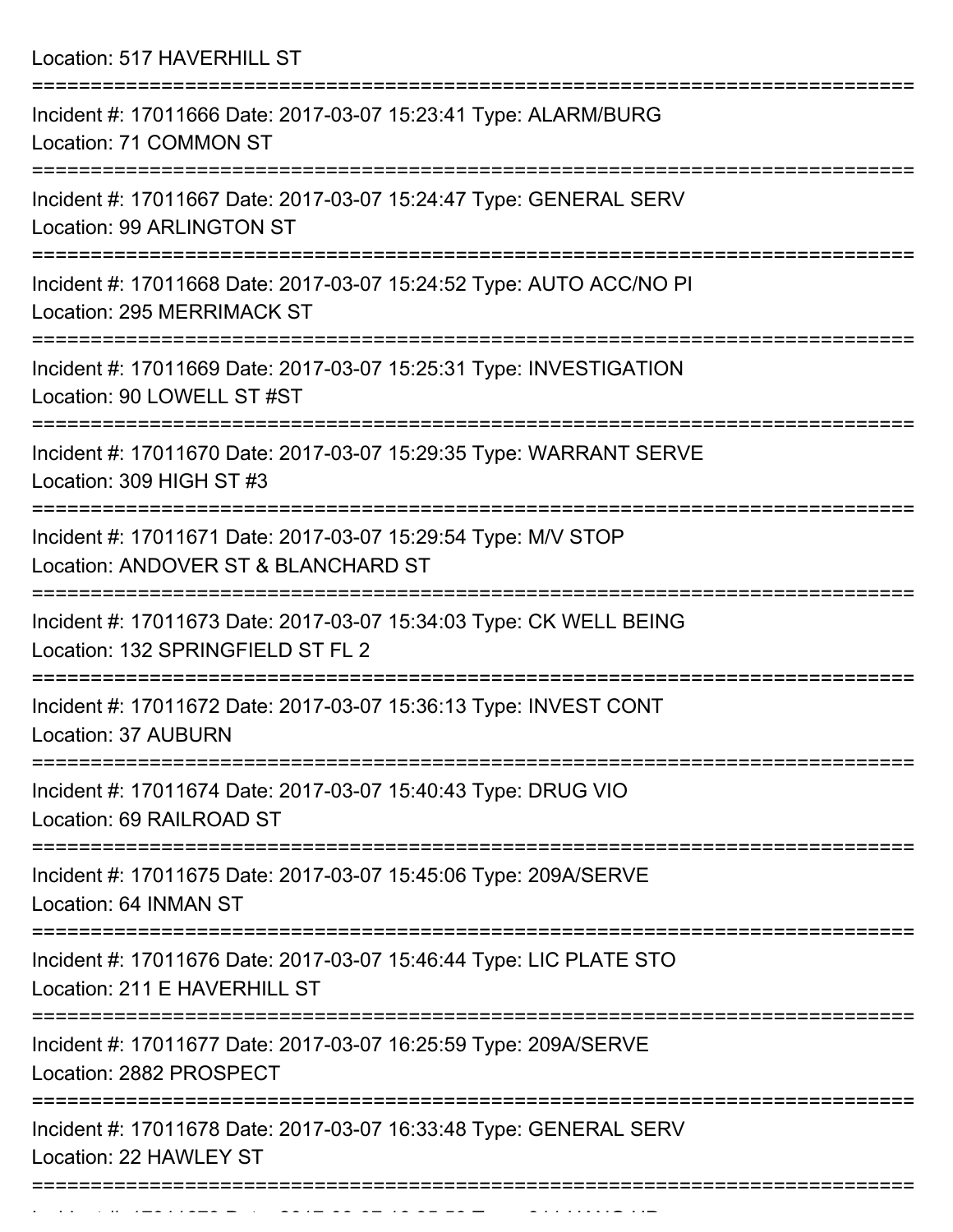Location: 517 HAVERHILL ST

| Incident #: 17011666 Date: 2017-03-07 15:23:41 Type: ALARM/BURG<br>Location: 71 COMMON ST                       |
|-----------------------------------------------------------------------------------------------------------------|
| Incident #: 17011667 Date: 2017-03-07 15:24:47 Type: GENERAL SERV<br>Location: 99 ARLINGTON ST                  |
| Incident #: 17011668 Date: 2017-03-07 15:24:52 Type: AUTO ACC/NO PI<br><b>Location: 295 MERRIMACK ST</b>        |
| Incident #: 17011669 Date: 2017-03-07 15:25:31 Type: INVESTIGATION<br>Location: 90 LOWELL ST #ST                |
| Incident #: 17011670 Date: 2017-03-07 15:29:35 Type: WARRANT SERVE<br>Location: 309 HIGH ST #3                  |
| Incident #: 17011671 Date: 2017-03-07 15:29:54 Type: M/V STOP<br>Location: ANDOVER ST & BLANCHARD ST            |
| Incident #: 17011673 Date: 2017-03-07 15:34:03 Type: CK WELL BEING<br>Location: 132 SPRINGFIELD ST FL 2         |
| Incident #: 17011672 Date: 2017-03-07 15:36:13 Type: INVEST CONT<br><b>Location: 37 AUBURN</b>                  |
| Incident #: 17011674 Date: 2017-03-07 15:40:43 Type: DRUG VIO<br>Location: 69 RAILROAD ST                       |
| ===================<br>Incident #: 17011675 Date: 2017-03-07 15:45:06 Type: 209A/SERVE<br>Location: 64 INMAN ST |
| Incident #: 17011676 Date: 2017-03-07 15:46:44 Type: LIC PLATE STO<br>Location: 211 E HAVERHILL ST              |
| Incident #: 17011677 Date: 2017-03-07 16:25:59 Type: 209A/SERVE<br>Location: 2882 PROSPECT                      |
| Incident #: 17011678 Date: 2017-03-07 16:33:48 Type: GENERAL SERV<br>Location: 22 HAWLEY ST                     |
|                                                                                                                 |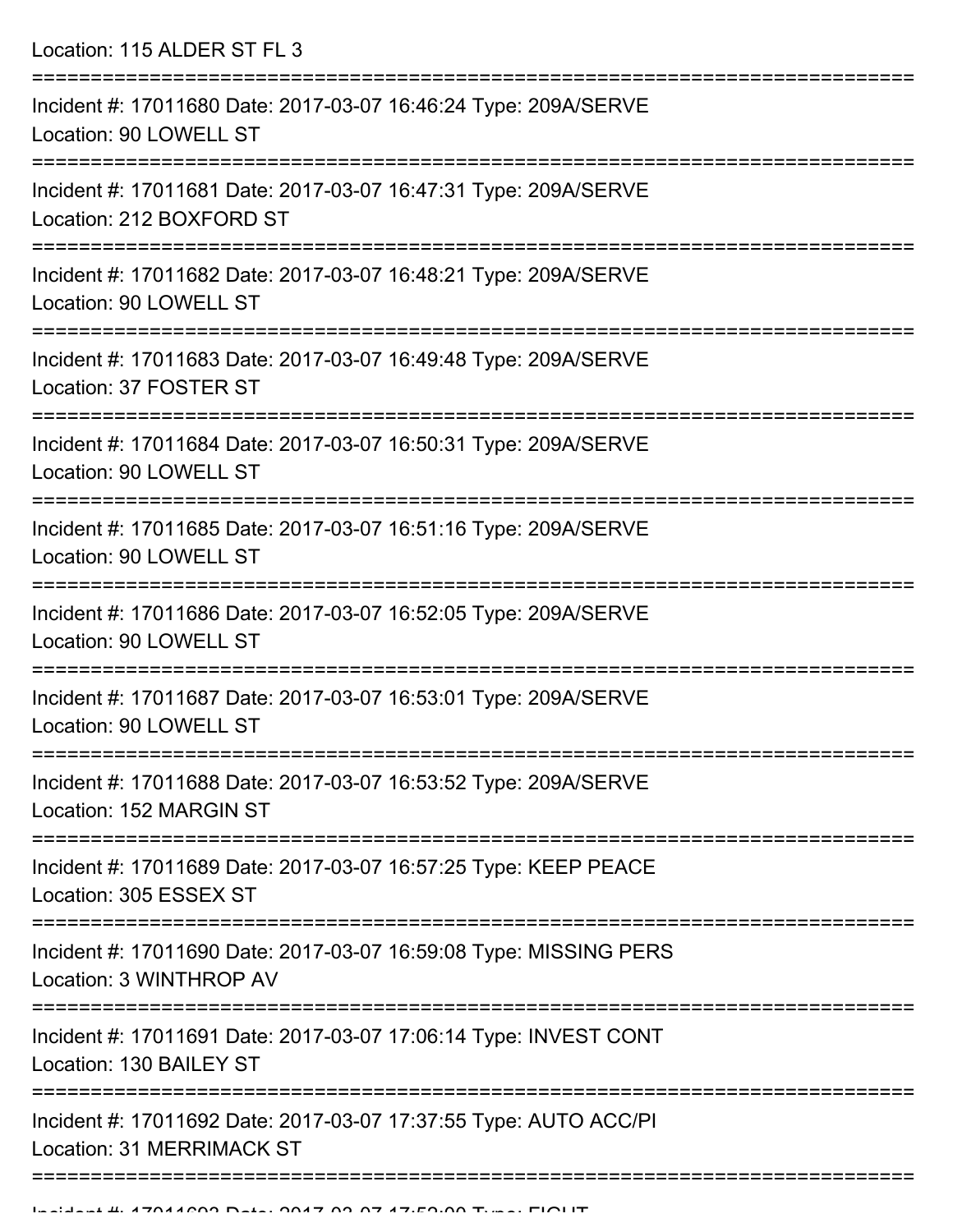Location: 115 ALDER ST FL 3 =========================================================================== Incident #: 17011680 Date: 2017-03-07 16:46:24 Type: 209A/SERVE Location: 90 LOWELL ST =========================================================================== Incident #: 17011681 Date: 2017-03-07 16:47:31 Type: 209A/SERVE Location: 212 BOXFORD ST =========================================================================== Incident #: 17011682 Date: 2017-03-07 16:48:21 Type: 209A/SERVE Location: 90 LOWELL ST =========================================================================== Incident #: 17011683 Date: 2017-03-07 16:49:48 Type: 209A/SERVE Location: 37 FOSTER ST =========================================================================== Incident #: 17011684 Date: 2017-03-07 16:50:31 Type: 209A/SERVE Location: 90 LOWELL ST =========================================================================== Incident #: 17011685 Date: 2017-03-07 16:51:16 Type: 209A/SERVE Location: 90 LOWELL ST =========================================================================== Incident #: 17011686 Date: 2017-03-07 16:52:05 Type: 209A/SERVE Location: 90 LOWELL ST =========================================================================== Incident #: 17011687 Date: 2017-03-07 16:53:01 Type: 209A/SERVE Location: 90 LOWELL ST =========================================================================== Incident #: 17011688 Date: 2017-03-07 16:53:52 Type: 209A/SERVE Location: 152 MARGIN ST =========================================================================== Incident #: 17011689 Date: 2017-03-07 16:57:25 Type: KEEP PEACE Location: 305 ESSEX ST =========================================================================== Incident #: 17011690 Date: 2017-03-07 16:59:08 Type: MISSING PERS Location: 3 WINTHROP AV =========================================================================== Incident #: 17011691 Date: 2017-03-07 17:06:14 Type: INVEST CONT Location: 130 BAILEY ST =========================================================================== Incident #: 17011692 Date: 2017-03-07 17:37:55 Type: AUTO ACC/PI Location: 31 MERRIMACK ST

===========================================================================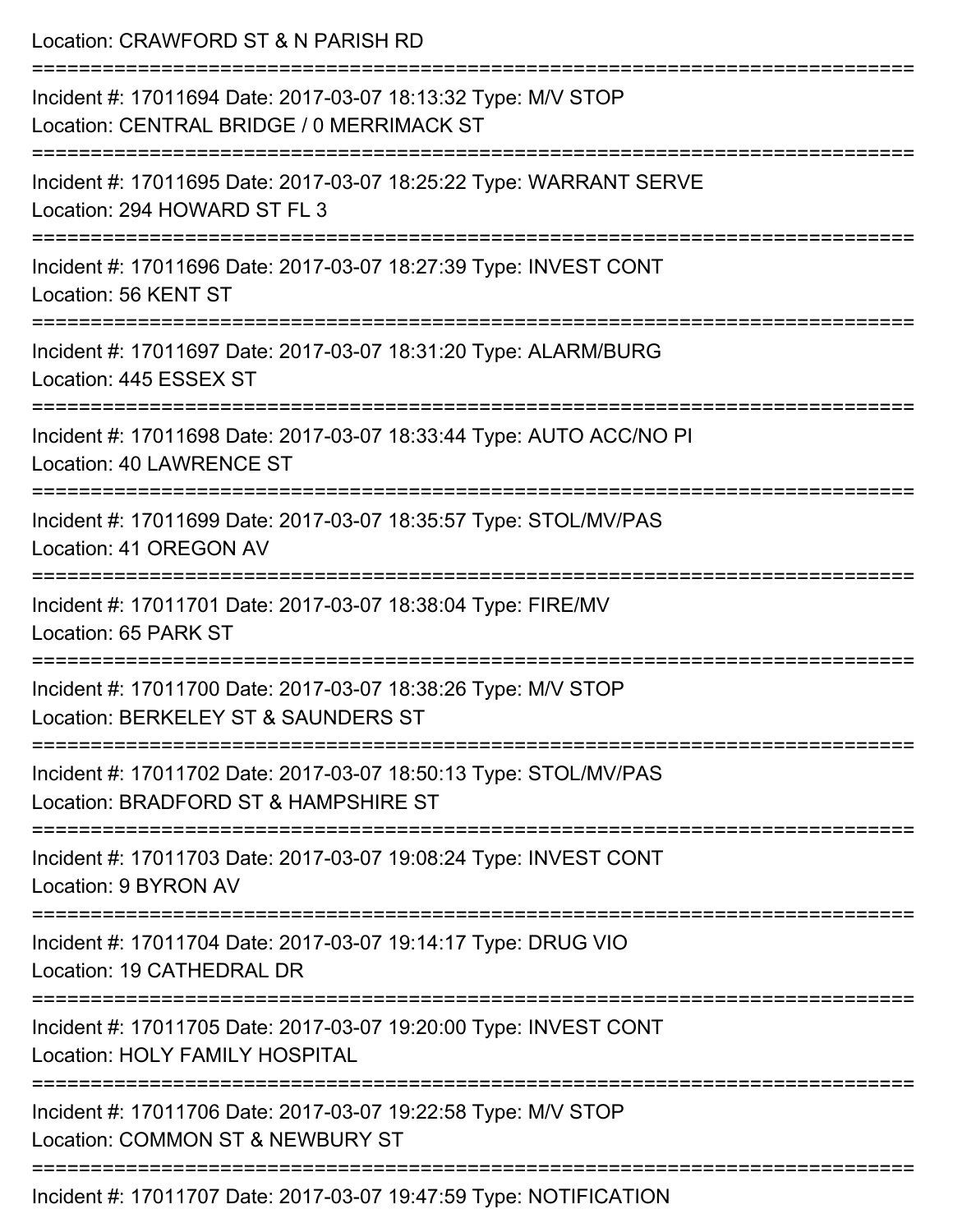| Location: CRAWFORD ST & N PARISH RD                                                                                          |
|------------------------------------------------------------------------------------------------------------------------------|
| Incident #: 17011694 Date: 2017-03-07 18:13:32 Type: M/V STOP<br>Location: CENTRAL BRIDGE / 0 MERRIMACK ST                   |
| Incident #: 17011695 Date: 2017-03-07 18:25:22 Type: WARRANT SERVE<br>Location: 294 HOWARD ST FL 3                           |
| Incident #: 17011696 Date: 2017-03-07 18:27:39 Type: INVEST CONT<br>Location: 56 KENT ST                                     |
| Incident #: 17011697 Date: 2017-03-07 18:31:20 Type: ALARM/BURG<br>Location: 445 ESSEX ST                                    |
| Incident #: 17011698 Date: 2017-03-07 18:33:44 Type: AUTO ACC/NO PI<br><b>Location: 40 LAWRENCE ST</b>                       |
| :=============================<br>Incident #: 17011699 Date: 2017-03-07 18:35:57 Type: STOL/MV/PAS<br>Location: 41 OREGON AV |
| Incident #: 17011701 Date: 2017-03-07 18:38:04 Type: FIRE/MV<br>Location: 65 PARK ST                                         |
| Incident #: 17011700 Date: 2017-03-07 18:38:26 Type: M/V STOP<br>Location: BERKELEY ST & SAUNDERS ST                         |
| Incident #: 17011702 Date: 2017-03-07 18:50:13 Type: STOL/MV/PAS<br>Location: BRADFORD ST & HAMPSHIRE ST                     |
| Incident #: 17011703 Date: 2017-03-07 19:08:24 Type: INVEST CONT<br>Location: 9 BYRON AV                                     |
| Incident #: 17011704 Date: 2017-03-07 19:14:17 Type: DRUG VIO<br>Location: 19 CATHEDRAL DR                                   |
| Incident #: 17011705 Date: 2017-03-07 19:20:00 Type: INVEST CONT<br>Location: HOLY FAMILY HOSPITAL                           |
| Incident #: 17011706 Date: 2017-03-07 19:22:58 Type: M/V STOP<br>Location: COMMON ST & NEWBURY ST                            |
|                                                                                                                              |

Incident #: 17011707 Date: 2017-03-07 19:47:59 Type: NOTIFICATION